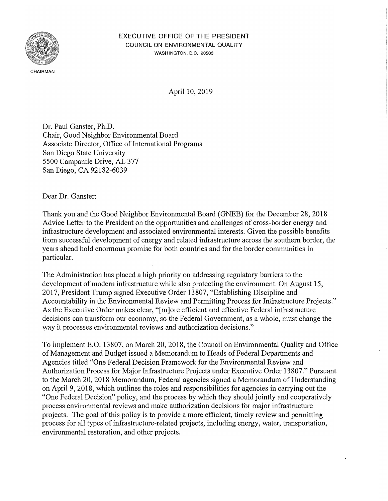

## EXECUTIVE OFFICE OF THE PRESIDENT COUNCIL ON ENVIRONMENTAL QUALITY WASHINGTON, D.C. 20503

April 10, 2019

Dr. Paul Ganster, Ph.D. Chair, Good Neighbor Environmental Board Associate Director, Office of International Programs San Diego State University 5500 Campanile Drive, AL 377 San Diego, CA 92182-6039

Dear Dr. Ganster:

Thank you and the Good Neighbor Environmental Board (GNEB) for the December 28, 2018 Advice Letter to the President on the opportunities and challenges of cross-border energy and infrastructure development and associated environmental interests. Given the possible benefits from successful development of energy and related infrastructure across the southern border, the years ahead hold enormous promise for both countries and for the border communities in particular.

The Administration has placed a high priority on addressing regulatory barriers to the development of modern infrastructure while also protecting the environment. On August 15, 2017, President Trump signed Executive Order 13807, "Establishing Discipline and Accountability in the Environmental Review and Permitting Process for Infrastructure Projects." As the Executive Order makes clear, "Im lore efficient and effective Federal infrastructure decisions can transform our economy, so the Federal Government, as a whole, must change the way it processes environmental reviews and authorization decisions."

To implement E.O. 13807, on March 20, 2018, the Council on Environmental Quality and Office of Management and Budget issued a Memorandum to Heads of Federal Departments and Agencies titled "One Federal Decision Framework for the Environmental Review and Authorization Process for Major lnfrastrncture Projects under Executive Order 13807.'' Pursuant to the March 20, 2018 Memorandum, Federal agencies signed a Memorandum of Understanding on April 9, 2018, which outlines the roles and responsibilities for agencies in carrying out the "One Federal Decision" policy, and the process by which they should jointly and cooperatively process environmental reviews and make authorization decisions for major infrastructure projects. The goal of this policy is to provide a more efficient, timely review and permitting process for all types of infrastructure-related projects, including energy, water, transportation, environmental restoration, and other projects.